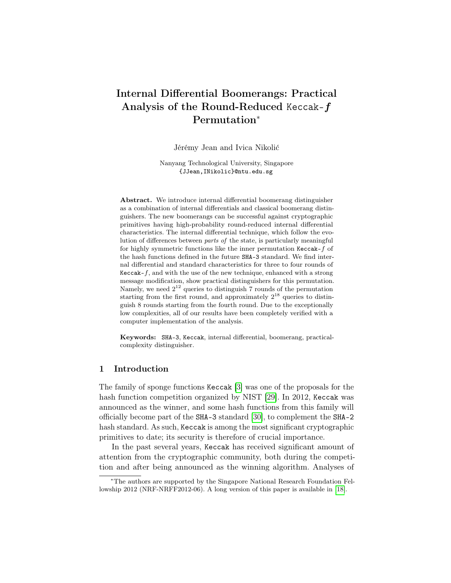# Internal Differential Boomerangs: Practical Analysis of the Round-Reduced Keccak-f Permutation<sup>∗</sup>

Jérémy Jean and Ivica Nikolić

Nanyang Technological University, Singapore {JJean,INikolic}@ntu.edu.sg

Abstract. We introduce internal differential boomerang distinguisher as a combination of internal differentials and classical boomerang distinguishers. The new boomerangs can be successful against cryptographic primitives having high-probability round-reduced internal differential characteristics. The internal differential technique, which follow the evolution of differences between parts of the state, is particularly meaningful for highly symmetric functions like the inner permutation Keccak-f of the hash functions defined in the future SHA-3 standard. We find internal differential and standard characteristics for three to four rounds of Keccak- $f$ , and with the use of the new technique, enhanced with a strong message modification, show practical distinguishers for this permutation. Namely, we need  $2^{12}$  queries to distinguish 7 rounds of the permutation starting from the first round, and approximately  $2^{18}$  queries to distinguish 8 rounds starting from the fourth round. Due to the exceptionally low complexities, all of our results have been completely verified with a computer implementation of the analysis.

Keywords: SHA-3, Keccak, internal differential, boomerang, practicalcomplexity distinguisher.

### 1 Introduction

The family of sponge functions Keccak [\[3\]](#page-20-0) was one of the proposals for the hash function competition organized by NIST [\[29\]](#page-22-0). In 2012, Keccak was announced as the winner, and some hash functions from this family will officially become part of the SHA-3 standard [\[30\]](#page-22-1), to complement the SHA-2 hash standard. As such, Keccak is among the most significant cryptographic primitives to date; its security is therefore of crucial importance.

In the past several years, Keccak has received significant amount of attention from the cryptographic community, both during the competition and after being announced as the winning algorithm. Analyses of

<sup>∗</sup>The authors are supported by the Singapore National Research Foundation Fellowship 2012 (NRF-NRFF2012-06). A long version of this paper is available in [\[18\]](#page-21-0).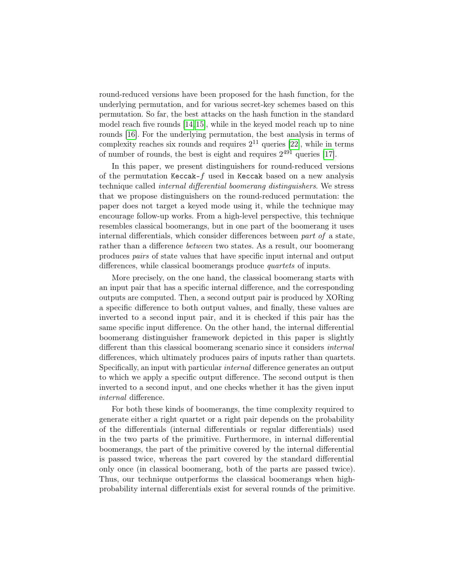round-reduced versions have been proposed for the hash function, for the underlying permutation, and for various secret-key schemes based on this permutation. So far, the best attacks on the hash function in the standard model reach five rounds [\[14,](#page-21-1)[15\]](#page-21-2), while in the keyed model reach up to nine rounds [\[16\]](#page-21-3). For the underlying permutation, the best analysis in terms of complexity reaches six rounds and requires  $2^{11}$  queries  $[22]$ , while in terms of number of rounds, the best is eight and requires  $2^{491}$  queries [\[17\]](#page-21-5).

In this paper, we present distinguishers for round-reduced versions of the permutation Keccak-f used in Keccak based on a new analysis technique called internal differential boomerang distinguishers. We stress that we propose distinguishers on the round-reduced permutation: the paper does not target a keyed mode using it, while the technique may encourage follow-up works. From a high-level perspective, this technique resembles classical boomerangs, but in one part of the boomerang it uses internal differentials, which consider differences between part of a state, rather than a difference between two states. As a result, our boomerang produces pairs of state values that have specific input internal and output differences, while classical boomerangs produce quartets of inputs.

More precisely, on the one hand, the classical boomerang starts with an input pair that has a specific internal difference, and the corresponding outputs are computed. Then, a second output pair is produced by XORing a specific difference to both output values, and finally, these values are inverted to a second input pair, and it is checked if this pair has the same specific input difference. On the other hand, the internal differential boomerang distinguisher framework depicted in this paper is slightly different than this classical boomerang scenario since it considers internal differences, which ultimately produces pairs of inputs rather than quartets. Specifically, an input with particular internal difference generates an output to which we apply a specific output difference. The second output is then inverted to a second input, and one checks whether it has the given input internal difference.

For both these kinds of boomerangs, the time complexity required to generate either a right quartet or a right pair depends on the probability of the differentials (internal differentials or regular differentials) used in the two parts of the primitive. Furthermore, in internal differential boomerangs, the part of the primitive covered by the internal differential is passed twice, whereas the part covered by the standard differential only once (in classical boomerang, both of the parts are passed twice). Thus, our technique outperforms the classical boomerangs when highprobability internal differentials exist for several rounds of the primitive.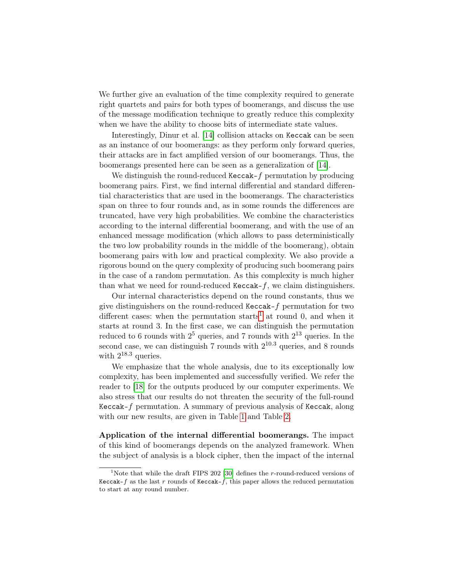We further give an evaluation of the time complexity required to generate right quartets and pairs for both types of boomerangs, and discuss the use of the message modification technique to greatly reduce this complexity when we have the ability to choose bits of intermediate state values.

Interestingly, Dinur et al. [\[14\]](#page-21-1) collision attacks on Keccak can be seen as an instance of our boomerangs: as they perform only forward queries, their attacks are in fact amplified version of our boomerangs. Thus, the boomerangs presented here can be seen as a generalization of [\[14\]](#page-21-1).

We distinguish the round-reduced Keccak- $f$  permutation by producing boomerang pairs. First, we find internal differential and standard differential characteristics that are used in the boomerangs. The characteristics span on three to four rounds and, as in some rounds the differences are truncated, have very high probabilities. We combine the characteristics according to the internal differential boomerang, and with the use of an enhanced message modification (which allows to pass deterministically the two low probability rounds in the middle of the boomerang), obtain boomerang pairs with low and practical complexity. We also provide a rigorous bound on the query complexity of producing such boomerang pairs in the case of a random permutation. As this complexity is much higher than what we need for round-reduced Keccak- $f$ , we claim distinguishers.

Our internal characteristics depend on the round constants, thus we give distinguishers on the round-reduced Keccak- $f$  permutation for two different cases: when the permutation starts<sup>[1](#page-2-0)</sup> at round 0, and when it starts at round 3. In the first case, we can distinguish the permutation reduced to 6 rounds with  $2^5$  queries, and 7 rounds with  $2^{13}$  queries. In the second case, we can distinguish 7 rounds with  $2^{10.3}$  queries, and 8 rounds with  $2^{18.3}$  queries.

We emphasize that the whole analysis, due to its exceptionally low complexity, has been implemented and successfully verified. We refer the reader to [\[18\]](#page-21-0) for the outputs produced by our computer experiments. We also stress that our results do not threaten the security of the full-round Keccak- $f$  permutation. A summary of previous analysis of Keccak, along with our new results, are given in Table [1](#page-3-0) and Table [2.](#page-3-1)

Application of the internal differential boomerangs. The impact of this kind of boomerangs depends on the analyzed framework. When the subject of analysis is a block cipher, then the impact of the internal

<span id="page-2-0"></span><sup>&</sup>lt;sup>1</sup>Note that while the draft FIPS 202 [\[30\]](#page-22-1) defines the r-round-reduced versions of Keccak- $f$  as the last  $r$  rounds of Keccak- $f$ , this paper allows the reduced permutation to start at any round number.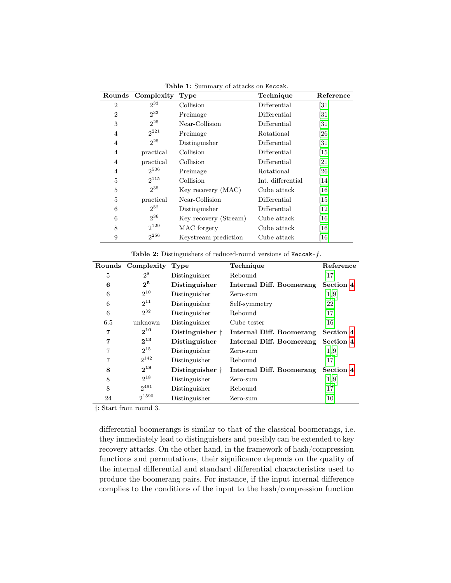<span id="page-3-0"></span>

| Rounds         | Complexity | Type                  | Technique         | Reference         |
|----------------|------------|-----------------------|-------------------|-------------------|
| $\overline{2}$ | $2^{33}$   | Collision             | Differential      | [31]              |
| $\overline{2}$ | $2^{33}$   | Preimage              | Differential      | [31]              |
| 3              | $2^{25}$   | Near-Collision        | Differential      | $[31]$            |
| 4              | $2^{221}$  | Preimage              | Rotational        | [26]              |
| 4              | $2^{25}$   | Distinguisher         | Differential      | [31]              |
| 4              | practical  | Collision             | Differential      | $\vert 15 \vert$  |
| 4              | practical  | Collision             | Differential      | [21]              |
| 4              | $2^{506}$  | Preimage              | Rotational        | [26]              |
| 5              | $2^{115}$  | Collision             | Int. differential | $[14]$            |
| 5              | $2^{35}$   | Key recovery (MAC)    | Cube attack       | [16]              |
| 5              | practical  | Near-Collision        | Differential      | $\left[15\right]$ |
| 6              | $2^{52}$   | Distinguisher         | Differential      | $[12]$            |
| 6              | $2^{36}$   | Key recovery (Stream) | Cube attack       | $[16]$            |
| 8              | $2^{129}$  | MAC forgery           | Cube attack       | [16]              |
| 9              | $2^{256}$  | Keystream prediction  | Cube attack       | $[16]$            |

Table 1: Summary of attacks on Keccak.

Table 2: Distinguishers of reduced-round versions of Keccak- $f$ .

<span id="page-3-1"></span>

|     | Rounds Complexity | Type            | Technique                | Reference |
|-----|-------------------|-----------------|--------------------------|-----------|
| 5   | $2^8$             | Distinguisher   | Rebound                  | $[17]$    |
| 6   | $2^5$             | Distinguisher   | Internal Diff. Boomerang | Section 4 |
| 6   | $2^{10}$          | Distinguisher   | Zero-sum                 | [1, 9]    |
| 6   | $2^{11}$          | Distinguisher   | Self-symmetry            | [22]      |
| 6   | $2^{32}$          | Distinguisher   | Rebound                  | $[17]$    |
| 6.5 | unknown           | Distinguisher   | Cube tester              | $[16]$    |
| 7   | $2^{10}$          | Distinguisher † | Internal Diff. Boomerang | Section 4 |
| 7   | $2^{13}$          | Distinguisher   | Internal Diff. Boomerang | Section 4 |
|     | $2^{15}$          | Distinguisher   | Zero-sum                 | [1, 9]    |
|     | $2^{142}$         | Distinguisher   | Rebound                  | $[17]$    |
| 8   | $2^{18}$          | Distinguisher † | Internal Diff. Boomerang | Section 4 |
| 8   | $2^{18}$          | Distinguisher   | Zero-sum                 | [1, 9]    |
| 8   | $2^{491}$         | Distinguisher   | Rebound                  | $[17]$    |
| 24  | $2^{1590}$        | Distinguisher   | Zero-sum                 | $[10]$    |

†: Start from round 3.

differential boomerangs is similar to that of the classical boomerangs, i.e. they immediately lead to distinguishers and possibly can be extended to key recovery attacks. On the other hand, in the framework of hash/compression functions and permutations, their significance depends on the quality of the internal differential and standard differential characteristics used to produce the boomerang pairs. For instance, if the input internal difference complies to the conditions of the input to the hash/compression function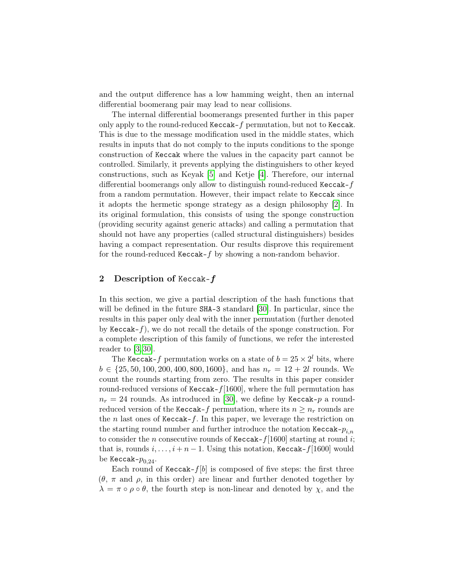and the output difference has a low hamming weight, then an internal differential boomerang pair may lead to near collisions.

The internal differential boomerangs presented further in this paper only apply to the round-reduced Keccak- $f$  permutation, but not to Keccak. This is due to the message modification used in the middle states, which results in inputs that do not comply to the inputs conditions to the sponge construction of Keccak where the values in the capacity part cannot be controlled. Similarly, it prevents applying the distinguishers to other keyed constructions, such as Keyak [\[5\]](#page-20-2) and Ketje [\[4\]](#page-20-3). Therefore, our internal differential boomerangs only allow to distinguish round-reduced Keccak-f from a random permutation. However, their impact relate to Keccak since it adopts the hermetic sponge strategy as a design philosophy [\[2\]](#page-20-4). In its original formulation, this consists of using the sponge construction (providing security against generic attacks) and calling a permutation that should not have any properties (called structural distinguishers) besides having a compact representation. Our results disprove this requirement for the round-reduced Keccak- $f$  by showing a non-random behavior.

### 2 Description of Keccak- $f$

In this section, we give a partial description of the hash functions that will be defined in the future **SHA-3** standard [\[30\]](#page-22-1). In particular, since the results in this paper only deal with the inner permutation (further denoted by Keccak- $f$ ), we do not recall the details of the sponge construction. For a complete description of this family of functions, we refer the interested reader to  $\vert 3, 30 \vert$ .

The Keccak-f permutation works on a state of  $b = 25 \times 2^{l}$  bits, where  $b \in \{25, 50, 100, 200, 400, 800, 1600\}$ , and has  $n_r = 12 + 2l$  rounds. We count the rounds starting from zero. The results in this paper consider round-reduced versions of Keccak- $f[1600]$ , where the full permutation has  $n_r = 24$  rounds. As introduced in [\[30\]](#page-22-1), we define by Keccak-p a roundreduced version of the Keccak-f permutation, where its  $n \geq n_r$  rounds are the n last ones of Keccak-f. In this paper, we leverage the restriction on the starting round number and further introduce the notation Keccak- $p_{i,n}$ to consider the *n* consecutive rounds of Keccak- $f[1600]$  starting at round i; that is, rounds  $i, \ldots, i + n - 1$ . Using this notation, Keccak-f[1600] would be Keccak- $p_{0,24}$ .

Each round of Keccak- $f[b]$  is composed of five steps: the first three  $(\theta, \pi \text{ and } \rho, \text{ in this order})$  are linear and further denoted together by  $\lambda = \pi \circ \rho \circ \theta$ , the fourth step is non-linear and denoted by  $\chi$ , and the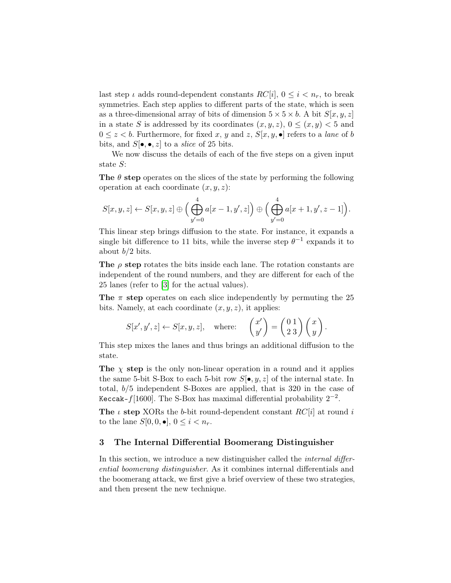last step  $\iota$  adds round-dependent constants  $RC[i], 0 \leq i \leq n_r$ , to break symmetries. Each step applies to different parts of the state, which is seen as a three-dimensional array of bits of dimension  $5 \times 5 \times b$ . A bit  $S[x, y, z]$ in a state S is addressed by its coordinates  $(x, y, z)$ ,  $0 \leq (x, y) < 5$  and  $0 \leq z \leq b$ . Furthermore, for fixed x, y and z,  $S[x, y, \bullet]$  refers to a *lane* of b bits, and  $S[\bullet, \bullet, z]$  to a *slice* of 25 bits.

We now discuss the details of each of the five steps on a given input state S:

The  $\theta$  step operates on the slices of the state by performing the following operation at each coordinate  $(x, y, z)$ :

$$
S[x,y,z] \leftarrow S[x,y,z] \oplus \Big(\bigoplus_{y'=0}^{4}a[x-1,y',z]\Big) \oplus \Big(\bigoplus_{y'=0}^{4}a[x+1,y',z-1]\Big).
$$

This linear step brings diffusion to the state. For instance, it expands a single bit difference to 11 bits, while the inverse step  $\theta^{-1}$  expands it to about  $b/2$  bits.

The  $\rho$  step rotates the bits inside each lane. The rotation constants are independent of the round numbers, and they are different for each of the 25 lanes (refer to [\[3\]](#page-20-0) for the actual values).

The  $\pi$  step operates on each slice independently by permuting the 25 bits. Namely, at each coordinate  $(x, y, z)$ , it applies:

$$
S[x', y', z] \leftarrow S[x, y, z], \text{ where: } \begin{pmatrix} x' \\ y' \end{pmatrix} = \begin{pmatrix} 0 & 1 \\ 2 & 3 \end{pmatrix} \begin{pmatrix} x \\ y \end{pmatrix}.
$$

This step mixes the lanes and thus brings an additional diffusion to the state.

The  $\chi$  step is the only non-linear operation in a round and it applies the same 5-bit S-Box to each 5-bit row  $S[\bullet, y, z]$  of the internal state. In total, b/5 independent S-Boxes are applied, that is 320 in the case of Keccak- $f[1600]$ . The S-Box has maximal differential probability  $2^{-2}$ .

The  $\iota$  step XORs the b-bit round-dependent constant  $RC[i]$  at round i to the lane  $S[0, 0, \bullet]$ ,  $0 \leq i < n_r$ .

### 3 The Internal Differential Boomerang Distinguisher

In this section, we introduce a new distinguisher called the *internal differ*ential boomerang distinguisher. As it combines internal differentials and the boomerang attack, we first give a brief overview of these two strategies, and then present the new technique.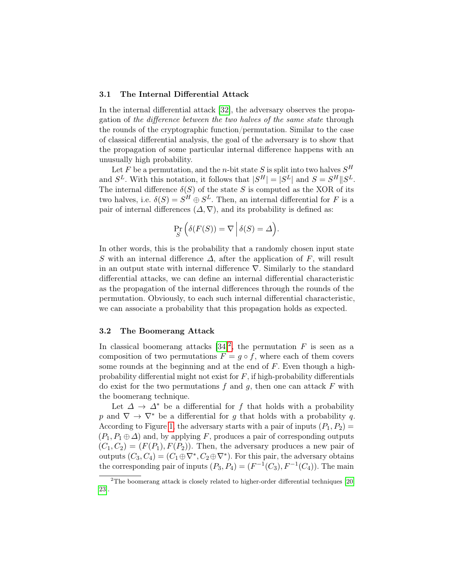#### 3.1 The Internal Differential Attack

In the internal differential attack [\[32\]](#page-22-4), the adversary observes the propagation of the difference between the two halves of the same state through the rounds of the cryptographic function/permutation. Similar to the case of classical differential analysis, the goal of the adversary is to show that the propagation of some particular internal difference happens with an unusually high probability.

Let F be a permutation, and the *n*-bit state S is split into two halves  $S^H$ and  $S^L$ . With this notation, it follows that  $|S^H| = |S^L|$  and  $S = S^H ||S^L$ . The internal difference  $\delta(S)$  of the state S is computed as the XOR of its two halves, i.e.  $\delta(S) = S^H \oplus S^L$ . Then, an internal differential for F is a pair of internal differences  $(\Delta, \nabla)$ , and its probability is defined as:

$$
\Pr_{S} \left( \delta(F(S)) = \nabla \, \Big| \, \delta(S) = \Delta \right).
$$

In other words, this is the probability that a randomly chosen input state S with an internal difference  $\Delta$ , after the application of F, will result in an output state with internal difference ∇. Similarly to the standard differential attacks, we can define an internal differential characteristic as the propagation of the internal differences through the rounds of the permutation. Obviously, to each such internal differential characteristic, we can associate a probability that this propagation holds as expected.

### 3.2 The Boomerang Attack

In classical boomerang attacks  $[34]^2$  $[34]^2$  $[34]^2$ , the permutation F is seen as a composition of two permutations  $F = g \circ f$ , where each of them covers some rounds at the beginning and at the end of  $F$ . Even though a highprobability differential might not exist for  $F$ , if high-probability differentials do exist for the two permutations  $f$  and  $g$ , then one can attack  $F$  with the boomerang technique.

Let  $\Delta \to \Delta^*$  be a differential for f that holds with a probability p and  $\nabla \to \nabla^*$  be a differential for g that holds with a probability q. According to Figure [1,](#page-8-0) the adversary starts with a pair of inputs  $(P_1, P_2)$  =  $(P_1, P_1 \oplus \Delta)$  and, by applying F, produces a pair of corresponding outputs  $(C_1, C_2) = (F(P_1), F(P_2))$ . Then, the adversary produces a new pair of outputs  $(C_3, C_4) = (C_1 \oplus \nabla^*, C_2 \oplus \nabla^*)$ . For this pair, the adversary obtains the corresponding pair of inputs  $(P_3, P_4) = (F^{-1}(C_3), F^{-1}(C_4))$ . The main

<span id="page-6-0"></span> $2$ The boomerang attack is closely related to higher-order differential techniques [\[20,](#page-21-10) [23\]](#page-21-11).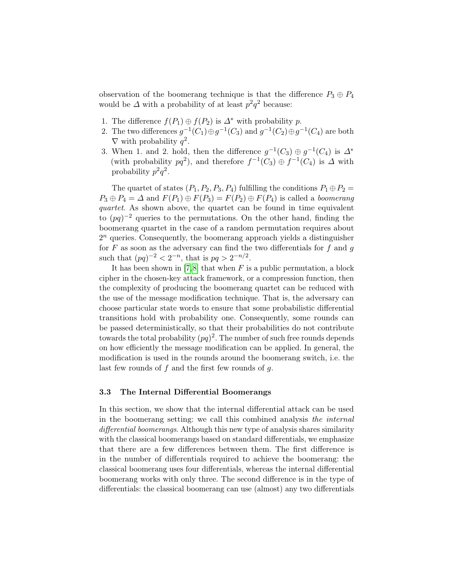observation of the boomerang technique is that the difference  $P_3 \oplus P_4$ would be  $\Delta$  with a probability of at least  $p^2q^2$  because:

- 1. The difference  $f(P_1) \oplus f(P_2)$  is  $\Delta^*$  with probability p.
- 2. The two differences  $g^{-1}(C_1) \oplus g^{-1}(C_3)$  and  $g^{-1}(C_2) \oplus g^{-1}(C_4)$  are both  $\nabla$  with probability  $q^2$ .
- 3. When 1. and 2. hold, then the difference  $g^{-1}(C_3) \oplus g^{-1}(C_4)$  is  $\Delta^*$ (with probability  $pq^2$ ), and therefore  $f^{-1}(C_3) \oplus f^{-1}(C_4)$  is  $\Delta$  with probability  $p^2q^2$ .

The quartet of states  $(P_1, P_2, P_3, P_4)$  fulfilling the conditions  $P_1 \oplus P_2 =$  $P_3 \oplus P_4 = \Delta$  and  $F(P_1) \oplus F(P_3) = F(P_2) \oplus F(P_4)$  is called a boomerang quartet. As shown above, the quartet can be found in time equivalent to  $(pq)^{-2}$  queries to the permutations. On the other hand, finding the boomerang quartet in the case of a random permutation requires about  $2<sup>n</sup>$  queries. Consequently, the boomerang approach yields a distinguisher for  $F$  as soon as the adversary can find the two differentials for  $f$  and  $g$ such that  $(pq)^{-2} < 2^{-n}$ , that is  $pq > 2^{-n/2}$ .

It has been shown in [\[7,](#page-20-5)[8\]](#page-21-12) that when  $F$  is a public permutation, a block cipher in the chosen-key attack framework, or a compression function, then the complexity of producing the boomerang quartet can be reduced with the use of the message modification technique. That is, the adversary can choose particular state words to ensure that some probabilistic differential transitions hold with probability one. Consequently, some rounds can be passed deterministically, so that their probabilities do not contribute towards the total probability  $(pq)^2$ . The number of such free rounds depends on how efficiently the message modification can be applied. In general, the modification is used in the rounds around the boomerang switch, i.e. the last few rounds of  $f$  and the first few rounds of  $g$ .

#### 3.3 The Internal Differential Boomerangs

In this section, we show that the internal differential attack can be used in the boomerang setting: we call this combined analysis the internal differential boomerangs. Although this new type of analysis shares similarity with the classical boomerangs based on standard differentials, we emphasize that there are a few differences between them. The first difference is in the number of differentials required to achieve the boomerang: the classical boomerang uses four differentials, whereas the internal differential boomerang works with only three. The second difference is in the type of differentials: the classical boomerang can use (almost) any two differentials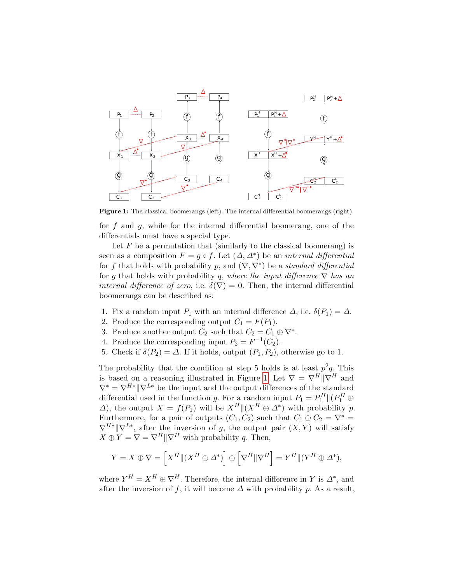<span id="page-8-0"></span>

Figure 1: The classical boomerangs (left). The internal differential boomerangs (right).

for  $f$  and  $g$ , while for the internal differential boomerang, one of the differentials must have a special type.

Let  $F$  be a permutation that (similarly to the classical boomerang) is seen as a composition  $F = g \circ f$ . Let  $(\Delta, \Delta^*)$  be an *internal differential* for f that holds with probability p, and  $(\nabla, \nabla^*)$  be a *standard differential* for g that holds with probability q, where the input difference  $\nabla$  has an *internal difference of zero*, i.e.  $\delta(\nabla) = 0$ . Then, the internal differential boomerangs can be described as:

- 1. Fix a random input  $P_1$  with an internal difference  $\Delta$ , i.e.  $\delta(P_1) = \Delta$ .
- 2. Produce the corresponding output  $C_1 = F(P_1)$ .
- 3. Produce another output  $C_2$  such that  $C_2 = C_1 \oplus \nabla^*$ .
- 4. Produce the corresponding input  $P_2 = F^{-1}(C_2)$ .
- 5. Check if  $\delta(P_2) = \Delta$ . If it holds, output  $(P_1, P_2)$ , otherwise go to 1.

The probability that the condition at step 5 holds is at least  $p^2q$ . This is based on a reasoning illustrated in Figure [1.](#page-8-0) Let  $\nabla = \nabla^H \|\nabla^H\|$  and  $\nabla^* = \nabla^{H*} \|\nabla^{L*}$  be the input and the output differences of the standard differential used in the function g. For a random input  $P_1 = P_1^H || (P_1^H \oplus$  $\Delta$ ), the output  $X = f(P_1)$  will be  $X^H \parallel (X^H \oplus \Delta^*)$  with probability p. Furthermore, for a pair of outputs  $(C_1, C_2)$  such that  $C_1 \oplus C_2 = \nabla^* =$  $\nabla^{H*}$ || $\nabla^{L*}$ , after the inversion of g, the output pair  $(X, Y)$  will satisfy  $X \oplus Y = \nabla = \nabla^H ||\nabla^H$  with probability q. Then,

$$
Y = X \oplus \nabla = \left[ X^H || (X^H \oplus \Delta^*) \right] \oplus \left[ \nabla^H || \nabla^H \right] = Y^H || (Y^H \oplus \Delta^*),
$$

where  $Y^H = X^H \oplus \nabla^H$ . Therefore, the internal difference in Y is  $\Delta^*$ , and after the inversion of f, it will become  $\Delta$  with probability p. As a result,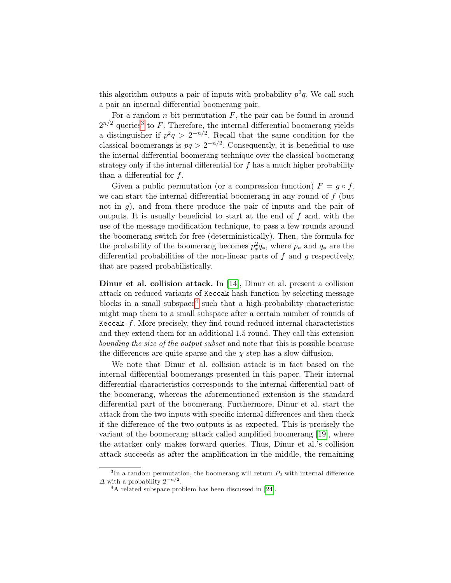this algorithm outputs a pair of inputs with probability  $p^2q$ . We call such a pair an internal differential boomerang pair.

For a random  $n$ -bit permutation  $F$ , the pair can be found in around  $2^{n/2}$  queries<sup>[3](#page-9-0)</sup> to F. Therefore, the internal differential boomerang yields a distinguisher if  $p^2q > 2^{-n/2}$ . Recall that the same condition for the classical boomerangs is  $pq > 2^{-n/2}$ . Consequently, it is beneficial to use the internal differential boomerang technique over the classical boomerang strategy only if the internal differential for  $f$  has a much higher probability than a differential for  $f$ .

Given a public permutation (or a compression function)  $F = g \circ f$ , we can start the internal differential boomerang in any round of  $f$  (but not in  $g$ ), and from there produce the pair of inputs and the pair of outputs. It is usually beneficial to start at the end of  $f$  and, with the use of the message modification technique, to pass a few rounds around the boomerang switch for free (deterministically). Then, the formula for the probability of the boomerang becomes  $p_*^2 q_*,$  where  $p_*$  and  $q_*$  are the differential probabilities of the non-linear parts of  $f$  and  $g$  respectively, that are passed probabilistically.

Dinur et al. collision attack. In [\[14\]](#page-21-1), Dinur et al. present a collision attack on reduced variants of Keccak hash function by selecting message blocks in a small subspace<sup>[4](#page-9-1)</sup> such that a high-probability characteristic might map them to a small subspace after a certain number of rounds of  $Keccak-f$ . More precisely, they find round-reduced internal characteristics and they extend them for an additional 1.5 round. They call this extension bounding the size of the output subset and note that this is possible because the differences are quite sparse and the  $\chi$  step has a slow diffusion.

We note that Dinur et al. collision attack is in fact based on the internal differential boomerangs presented in this paper. Their internal differential characteristics corresponds to the internal differential part of the boomerang, whereas the aforementioned extension is the standard differential part of the boomerang. Furthermore, Dinur et al. start the attack from the two inputs with specific internal differences and then check if the difference of the two outputs is as expected. This is precisely the variant of the boomerang attack called amplified boomerang [\[19\]](#page-21-13), where the attacker only makes forward queries. Thus, Dinur et al.'s collision attack succeeds as after the amplification in the middle, the remaining

<span id="page-9-0"></span> ${}^{3}$ In a random permutation, the boomerang will return  $P_2$  with internal difference  $\Delta$  with a probability  $2^{-n/2}$ .

<span id="page-9-1"></span><sup>&</sup>lt;sup>4</sup>A related subspace problem has been discussed in [\[24\]](#page-22-6).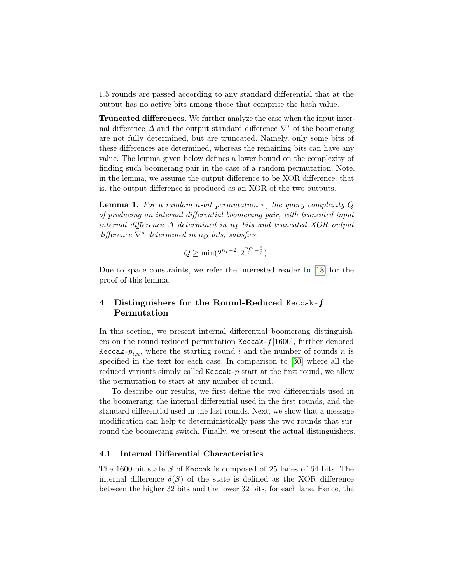1.5 rounds are passed according to any standard differential that at the output has no active bits among those that comprise the hash value.

Truncated differences. We further analyze the case when the input internal difference  $\Delta$  and the output standard difference  $\nabla^*$  of the boomerang are not fully determined, but are truncated. Namely, only some bits of these differences are determined, whereas the remaining bits can have any value. The lemma given below defines a lower bound on the complexity of finding such boomerang pair in the case of a random permutation. Note, in the lemma, we assume the output difference to be XOR difference, that is, the output difference is produced as an XOR of the two outputs.

<span id="page-10-1"></span>**Lemma 1.** For a random n-bit permutation  $\pi$ , the query complexity Q of producing an internal differential boomerang pair, with truncated input internal difference  $\Delta$  determined in  $n_I$  bits and truncated XOR output difference  $\nabla^*$  determined in  $n_Q$  bits, satisfies:

$$
Q \ge \min(2^{n_I - 2}, 2^{\frac{n_O}{2} - \frac{3}{2}}).
$$

Due to space constraints, we refer the interested reader to [\[18\]](#page-21-0) for the proof of this lemma.

# <span id="page-10-0"></span>4 Distinguishers for the Round-Reduced Keccak-f Permutation

In this section, we present internal differential boomerang distinguishers on the round-reduced permutation Keccak- $f[1600]$ , further denoted Keccak- $p_{i,n}$ , where the starting round i and the number of rounds n is specified in the text for each case. In comparison to [\[30\]](#page-22-1) where all the reduced variants simply called Keccak- $p$  start at the first round, we allow the permutation to start at any number of round.

To describe our results, we first define the two differentials used in the boomerang: the internal differential used in the first rounds, and the standard differential used in the last rounds. Next, we show that a message modification can help to deterministically pass the two rounds that surround the boomerang switch. Finally, we present the actual distinguishers.

## <span id="page-10-2"></span>4.1 Internal Differential Characteristics

The 1600-bit state S of Keccak is composed of 25 lanes of 64 bits. The internal difference  $\delta(S)$  of the state is defined as the XOR difference between the higher 32 bits and the lower 32 bits, for each lane. Hence, the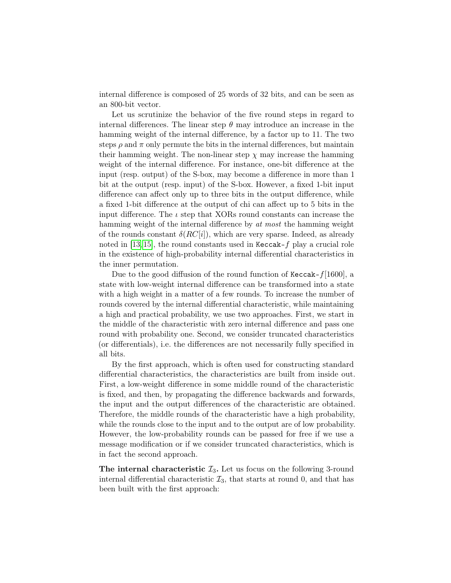internal difference is composed of 25 words of 32 bits, and can be seen as an 800-bit vector.

Let us scrutinize the behavior of the five round steps in regard to internal differences. The linear step  $\theta$  may introduce an increase in the hamming weight of the internal difference, by a factor up to 11. The two steps  $\rho$  and  $\pi$  only permute the bits in the internal differences, but maintain their hamming weight. The non-linear step  $\chi$  may increase the hamming weight of the internal difference. For instance, one-bit difference at the input (resp. output) of the S-box, may become a difference in more than 1 bit at the output (resp. input) of the S-box. However, a fixed 1-bit input difference can affect only up to three bits in the output difference, while a fixed 1-bit difference at the output of chi can affect up to 5 bits in the input difference. The  $\iota$  step that XORs round constants can increase the hamming weight of the internal difference by at most the hamming weight of the rounds constant  $\delta(RC[i])$ , which are very sparse. Indeed, as already noted in  $[13, 15]$  $[13, 15]$ , the round constants used in Keccak-f play a crucial role in the existence of high-probability internal differential characteristics in the inner permutation.

Due to the good diffusion of the round function of Keccak- $f[1600]$ , a state with low-weight internal difference can be transformed into a state with a high weight in a matter of a few rounds. To increase the number of rounds covered by the internal differential characteristic, while maintaining a high and practical probability, we use two approaches. First, we start in the middle of the characteristic with zero internal difference and pass one round with probability one. Second, we consider truncated characteristics (or differentials), i.e. the differences are not necessarily fully specified in all bits.

By the first approach, which is often used for constructing standard differential characteristics, the characteristics are built from inside out. First, a low-weight difference in some middle round of the characteristic is fixed, and then, by propagating the difference backwards and forwards, the input and the output differences of the characteristic are obtained. Therefore, the middle rounds of the characteristic have a high probability, while the rounds close to the input and to the output are of low probability. However, the low-probability rounds can be passed for free if we use a message modification or if we consider truncated characteristics, which is in fact the second approach.

The internal characteristic  $\mathcal{I}_3$ . Let us focus on the following 3-round internal differential characteristic  $\mathcal{I}_3$ , that starts at round 0, and that has been built with the first approach: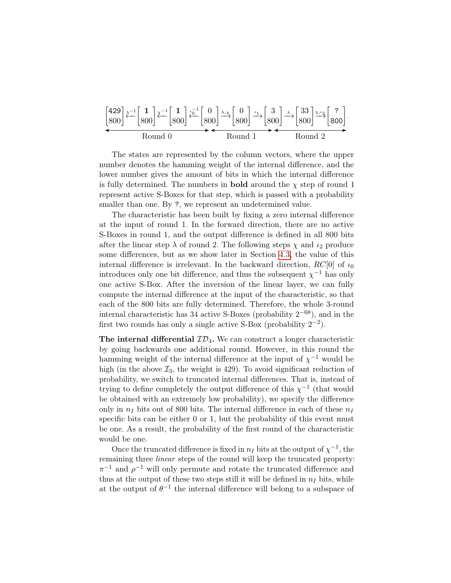$$
\underbrace{\begin{bmatrix} 429 \\ 800 \end{bmatrix}}_{\text{Round 0}} \underbrace{\lambda^{-1}}_{\text{Round 0}} \underbrace{\begin{bmatrix} 1 \\ 800 \end{bmatrix}}_{\text{bound 0}} \underbrace{\begin{bmatrix} 0 \\ 600 \end{bmatrix}}_{\text{bound 1}} \underbrace{\begin{bmatrix} 0 \\ 800 \end{bmatrix}}_{\text{bound 1}} \underbrace{\begin{bmatrix} 3 \\ 800 \end{bmatrix}}_{\text{bound 2}} \underbrace{\begin{bmatrix} 33 \\ 800 \end{bmatrix}}_{\text{Round 2}} \underbrace{\begin{bmatrix} 7 \\ 800 \end{bmatrix}}_{\text{Round 3}}.
$$

The states are represented by the column vectors, where the upper number denotes the hamming weight of the internal difference, and the lower number gives the amount of bits in which the internal difference is fully determined. The numbers in **bold** around the  $\chi$  step of round 1 represent active S-Boxes for that step, which is passed with a probability smaller than one. By ?, we represent an undetermined value.

The characteristic has been built by fixing a zero internal difference at the input of round 1. In the forward direction, there are no active S-Boxes in round 1, and the output difference is defined in all 800 bits after the linear step  $\lambda$  of round 2. The following steps  $\chi$  and  $\iota_2$  produce some differences, but as we show later in Section [4.3,](#page-16-0) the value of this internal difference is irrelevant. In the backward direction,  $RC[0]$  of  $\iota_0$ introduces only one bit difference, and thus the subsequent  $\chi^{-1}$  has only one active S-Box. After the inversion of the linear layer, we can fully compute the internal difference at the input of the characteristic, so that each of the 800 bits are fully determined. Therefore, the whole 3-round internal characteristic has 34 active S-Boxes (probability  $2^{-68}$ ), and in the first two rounds has only a single active S-Box (probability  $2^{-2}$ ).

The internal differential  $ID_4$ . We can construct a longer characteristic by going backwards one additional round. However, in this round the hamming weight of the internal difference at the input of  $\chi^{-1}$  would be high (in the above  $\mathcal{I}_3$ , the weight is 429). To avoid significant reduction of probability, we switch to truncated internal differences. That is, instead of trying to define completely the output difference of this  $\chi^{-1}$  (that would be obtained with an extremely low probability), we specify the difference only in  $n_I$  bits out of 800 bits. The internal difference in each of these  $n_I$ specific bits can be either 0 or 1, but the probability of this event must be one. As a result, the probability of the first round of the characteristic would be one.

Once the truncated difference is fixed in  $n_I$  bits at the output of  $\chi^{-1}$ , the remaining three *linear* steps of the round will keep the truncated property:  $\pi^{-1}$  and  $\rho^{-1}$  will only permute and rotate the truncated difference and thus at the output of these two steps still it will be defined in  $n_I$  bits, while at the output of  $\theta^{-1}$  the internal difference will belong to a subspace of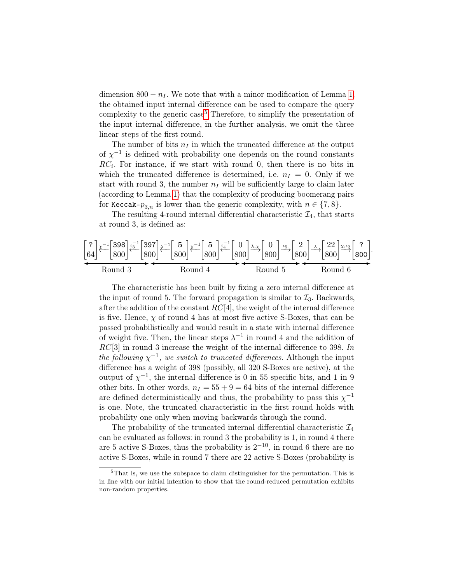dimension 800 −  $n_I$ . We note that with a minor modification of Lemma [1,](#page-10-1) the obtained input internal difference can be used to compare the query complexity to the generic case<sup>[5](#page-13-0)</sup> Therefore, to simplify the presentation of the input internal difference, in the further analysis, we omit the three linear steps of the first round.

The number of bits  $n_I$  in which the truncated difference at the output of  $\chi^{-1}$  is defined with probability one depends on the round constants  $RC<sub>i</sub>$ . For instance, if we start with round 0, then there is no bits in which the truncated difference is determined, i.e.  $n_I = 0$ . Only if we start with round 3, the number  $n_I$  will be sufficiently large to claim later (according to Lemma [1\)](#page-10-1) that the complexity of producing boomerang pairs for Keccak- $p_{3,n}$  is lower than the generic complexity, with  $n \in \{7,8\}$ .

The resulting 4-round internal differential characteristic  $\mathcal{I}_4$ , that starts at round 3, is defined as:



The characteristic has been built by fixing a zero internal difference at the input of round 5. The forward propagation is similar to  $\mathcal{I}_3$ . Backwards, after the addition of the constant  $RC[4]$ , the weight of the internal difference is five. Hence,  $\chi$  of round 4 has at most five active S-Boxes, that can be passed probabilistically and would result in a state with internal difference of weight five. Then, the linear steps  $\lambda^{-1}$  in round 4 and the addition of  $RC[3]$  in round 3 increase the weight of the internal difference to 398. In the following  $\chi^{-1}$ , we switch to truncated differences. Although the input difference has a weight of 398 (possibly, all 320 S-Boxes are active), at the output of  $\chi^{-1}$ , the internal difference is 0 in 55 specific bits, and 1 in 9 other bits. In other words,  $n_I = 55 + 9 = 64$  bits of the internal difference are defined deterministically and thus, the probability to pass this  $\chi^{-1}$ is one. Note, the truncated characteristic in the first round holds with probability one only when moving backwards through the round.

The probability of the truncated internal differential characteristic  $\mathcal{I}_4$ can be evaluated as follows: in round 3 the probability is 1, in round 4 there are 5 active S-Boxes, thus the probability is  $2^{-10}$ , in round 6 there are no active S-Boxes, while in round 7 there are 22 active S-Boxes (probability is

<span id="page-13-0"></span> ${}^{5}$ That is, we use the subspace to claim distinguisher for the permutation. This is in line with our initial intention to show that the round-reduced permutation exhibits non-random properties.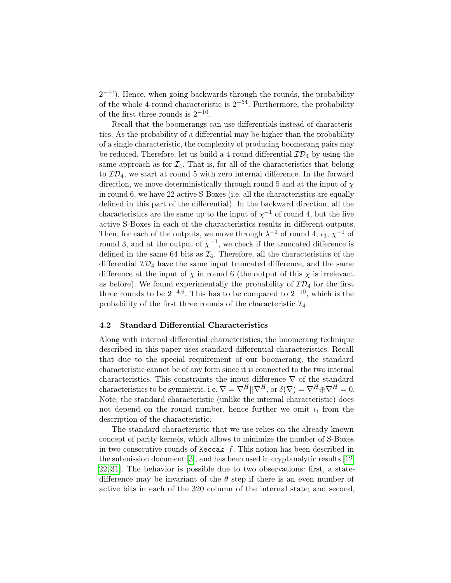$2^{-44}$ ). Hence, when going backwards through the rounds, the probability of the whole 4-round characteristic is  $2^{-54}$ . Furthermore, the probability of the first three rounds is  $2^{-10}$ .

Recall that the boomerangs can use differentials instead of characteristics. As the probability of a differential may be higher than the probability of a single characteristic, the complexity of producing boomerang pairs may be reduced. Therefore, let us build a 4-round differential  $\mathcal{ID}_4$  by using the same approach as for  $\mathcal{I}_4$ . That is, for all of the characteristics that belong to  $\mathcal{ID}_4$ , we start at round 5 with zero internal difference. In the forward direction, we move deterministically through round 5 and at the input of  $\chi$ in round 6, we have 22 active S-Boxes (i.e. all the characteristics are equally defined in this part of the differential). In the backward direction, all the characteristics are the same up to the input of  $\chi^{-1}$  of round 4, but the five active S-Boxes in each of the characteristics results in different outputs. Then, for each of the outputs, we move through  $\lambda^{-1}$  of round 4,  $\iota_3$ ,  $\chi^{-1}$  of round 3, and at the output of  $\chi^{-1}$ , we check if the truncated difference is defined in the same 64 bits as  $\mathcal{I}_4$ . Therefore, all the characteristics of the differential  $\mathcal{ID}_4$  have the same input truncated difference, and the same difference at the input of  $\chi$  in round 6 (the output of this  $\chi$  is irrelevant as before). We found experimentally the probability of  $D_4$  for the first three rounds to be  $2^{-4.6}$ . This has to be compared to  $2^{-10}$ , which is the probability of the first three rounds of the characteristic  $\mathcal{I}_4$ .

### <span id="page-14-0"></span>4.2 Standard Differential Characteristics

Along with internal differential characteristics, the boomerang technique described in this paper uses standard differential characteristics. Recall that due to the special requirement of our boomerang, the standard characteristic cannot be of any form since it is connected to the two internal characteristics. This constraints the input difference  $\nabla$  of the standard characteristics to be symmetric, i.e.  $\nabla = \nabla^H || \nabla^H$ , or  $\delta(\nabla) = \nabla^H \oplus \nabla^H = 0$ . Note, the standard characteristic (unlike the internal characteristic) does not depend on the round number, hence further we omit  $\iota_i$  from the description of the characteristic.

The standard characteristic that we use relies on the already-known concept of parity kernels, which allows to minimize the number of S-Boxes in two consecutive rounds of  $Keccak-f$ . This notion has been described in the submission document [\[3\]](#page-20-0), and has been used in cryptanalytic results [\[12,](#page-21-7) [22,](#page-21-4) [31\]](#page-22-2). The behavior is possible due to two observations: first, a statedifference may be invariant of the  $\theta$  step if there is an even number of active bits in each of the 320 column of the internal state; and second,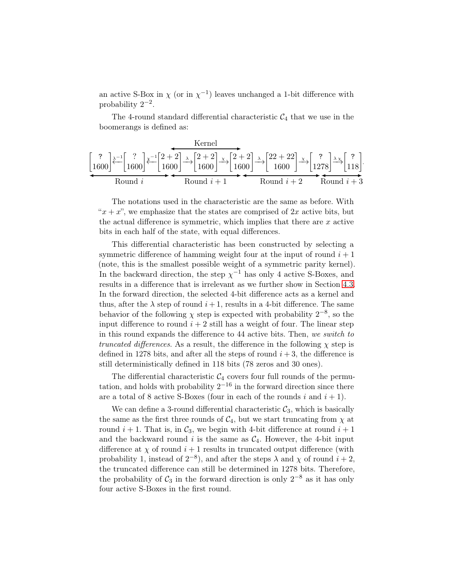an active S-Box in  $\chi$  (or in  $\chi^{-1}$ ) leaves unchanged a 1-bit difference with probability  $2^{-2}$ .

The 4-round standard differential characteristic  $C_4$  that we use in the boomerangs is defined as:

|                                                                                                                                                                                                                                                                                                                                                                                                                                                                                                                                                                                | Kernel      |                         |
|--------------------------------------------------------------------------------------------------------------------------------------------------------------------------------------------------------------------------------------------------------------------------------------------------------------------------------------------------------------------------------------------------------------------------------------------------------------------------------------------------------------------------------------------------------------------------------|-------------|-------------------------|
| $\begin{bmatrix} ? \\ 1600 \end{bmatrix} \stackrel{\lambda^{-1}}{\longleftarrow} \begin{bmatrix} ? \\ 1600 \end{bmatrix} \stackrel{\lambda^{-1}}{\longleftarrow} \begin{bmatrix} 2+2 \\ 1600 \end{bmatrix} \stackrel{\lambda}{\longrightarrow} \begin{bmatrix} 2+2 \\ 1600 \end{bmatrix} \stackrel{\lambda}{\longrightarrow} \begin{bmatrix} 2+2 \\ 1600 \end{bmatrix} \stackrel{\lambda}{\longrightarrow} \begin{bmatrix} 22+22 \\ 1600 \end{bmatrix} \stackrel{\lambda}{\longrightarrow} \begin{bmatrix} ? \\ 1278 \end{bmatrix} \stackrel{\lambda}{\longrightarrow} \begin$ |             |                         |
| Round i                                                                                                                                                                                                                                                                                                                                                                                                                                                                                                                                                                        | Round $i+1$ | Round $i+2$ Round $i+3$ |

The notations used in the characteristic are the same as before. With " $x + x$ ", we emphasize that the states are comprised of 2x active bits, but the actual difference is symmetric, which implies that there are  $x$  active bits in each half of the state, with equal differences.

This differential characteristic has been constructed by selecting a symmetric difference of hamming weight four at the input of round  $i+1$ (note, this is the smallest possible weight of a symmetric parity kernel). In the backward direction, the step  $\chi^{-1}$  has only 4 active S-Boxes, and results in a difference that is irrelevant as we further show in Section [4.3.](#page-16-0) In the forward direction, the selected 4-bit difference acts as a kernel and thus, after the  $\lambda$  step of round  $i+1$ , results in a 4-bit difference. The same behavior of the following  $\chi$  step is expected with probability  $2^{-8}$ , so the input difference to round  $i + 2$  still has a weight of four. The linear step in this round expands the difference to 44 active bits. Then, we switch to *truncated differences*. As a result, the difference in the following  $\chi$  step is defined in 1278 bits, and after all the steps of round  $i + 3$ , the difference is still deterministically defined in 118 bits (78 zeros and 30 ones).

The differential characteristic  $C_4$  covers four full rounds of the permutation, and holds with probability  $2^{-16}$  in the forward direction since there are a total of 8 active S-Boxes (four in each of the rounds i and  $i + 1$ ).

We can define a 3-round differential characteristic  $C_3$ , which is basically the same as the first three rounds of  $\mathcal{C}_4$ , but we start truncating from  $\chi$  at round  $i + 1$ . That is, in  $\mathcal{C}_3$ , we begin with 4-bit difference at round  $i + 1$ and the backward round i is the same as  $C_4$ . However, the 4-bit input difference at  $\chi$  of round  $i+1$  results in truncated output difference (with probability 1, instead of  $2^{-8}$ ), and after the steps  $\lambda$  and  $\chi$  of round  $i + 2$ , the truncated difference can still be determined in 1278 bits. Therefore, the probability of  $C_3$  in the forward direction is only  $2^{-8}$  as it has only four active S-Boxes in the first round.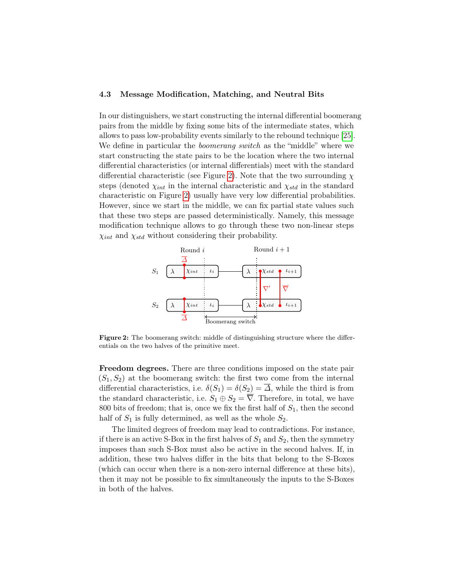#### <span id="page-16-0"></span>4.3 Message Modification, Matching, and Neutral Bits

In our distinguishers, we start constructing the internal differential boomerang pairs from the middle by fixing some bits of the intermediate states, which allows to pass low-probability events similarly to the rebound technique [\[25\]](#page-22-7). We define in particular the *boomerang switch* as the "middle" where we start constructing the state pairs to be the location where the two internal differential characteristics (or internal differentials) meet with the standard differential characteristic (see Figure [2\)](#page-16-1). Note that the two surrounding  $\chi$ steps (denoted  $\chi_{int}$  in the internal characteristic and  $\chi_{std}$  in the standard characteristic on Figure [2\)](#page-16-1) usually have very low differential probabilities. However, since we start in the middle, we can fix partial state values such that these two steps are passed deterministically. Namely, this message modification technique allows to go through these two non-linear steps  $\chi_{int}$  and  $\chi_{std}$  without considering their probability.

<span id="page-16-1"></span>

Figure 2: The boomerang switch: middle of distinguishing structure where the differentials on the two halves of the primitive meet.

Freedom degrees. There are three conditions imposed on the state pair  $(S_1, S_2)$  at the boomerang switch: the first two come from the internal differential characteristics, i.e.  $\delta(S_1) = \delta(S_2) = \overline{\Delta}$ , while the third is from the standard characteristic, i.e.  $S_1 \oplus S_2 = \overline{\nabla}$ . Therefore, in total, we have 800 bits of freedom; that is, once we fix the first half of  $S_1$ , then the second half of  $S_1$  is fully determined, as well as the whole  $S_2$ .

The limited degrees of freedom may lead to contradictions. For instance, if there is an active S-Box in the first halves of  $S_1$  and  $S_2$ , then the symmetry imposes than such S-Box must also be active in the second halves. If, in addition, these two halves differ in the bits that belong to the S-Boxes (which can occur when there is a non-zero internal difference at these bits), then it may not be possible to fix simultaneously the inputs to the S-Boxes in both of the halves.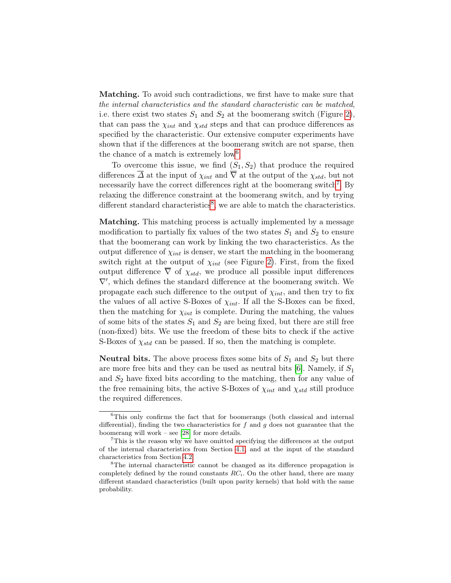Matching. To avoid such contradictions, we first have to make sure that the internal characteristics and the standard characteristic can be matched, i.e. there exist two states  $S_1$  and  $S_2$  at the boomerang switch (Figure [2\)](#page-16-1), that can pass the  $\chi_{int}$  and  $\chi_{std}$  steps and that can produce differences as specified by the characteristic. Our extensive computer experiments have shown that if the differences at the boomerang switch are not sparse, then the chance of a match is extremely  $\text{low}^6$  $\text{low}^6$ .

To overcome this issue, we find  $(S_1, S_2)$  that produce the required differences  $\overline{\Delta}$  at the input of  $\chi_{int}$  and  $\overline{\nabla}$  at the output of the  $\chi_{std}$ , but not necessarily have the correct differences right at the boomerang switch<sup>[7](#page-17-1)</sup>. By relaxing the difference constraint at the boomerang switch, and by trying different standard characteristics<sup>[8](#page-17-2)</sup>, we are able to match the characteristics.

Matching. This matching process is actually implemented by a message modification to partially fix values of the two states  $S_1$  and  $S_2$  to ensure that the boomerang can work by linking the two characteristics. As the output difference of  $\chi_{int}$  is denser, we start the matching in the boomerang switch right at the output of  $\chi_{int}$  (see Figure [2\)](#page-16-1). First, from the fixed output difference  $\overline{\nabla}$  of  $\chi_{std}$ , we produce all possible input differences  $\nabla'$ , which defines the standard difference at the boomerang switch. We propagate each such difference to the output of  $\chi_{int}$ , and then try to fix the values of all active S-Boxes of  $\chi_{int}$ . If all the S-Boxes can be fixed, then the matching for  $\chi_{int}$  is complete. During the matching, the values of some bits of the states  $S_1$  and  $S_2$  are being fixed, but there are still free (non-fixed) bits. We use the freedom of these bits to check if the active S-Boxes of  $\chi_{std}$  can be passed. If so, then the matching is complete.

**Neutral bits.** The above process fixes some bits of  $S_1$  and  $S_2$  but there are more free bits and they can be used as neutral bits  $[6]$ . Namely, if  $S_1$ and  $S_2$  have fixed bits according to the matching, then for any value of the free remaining bits, the active S-Boxes of  $\chi_{int}$  and  $\chi_{std}$  still produce the required differences.

<span id="page-17-0"></span><sup>6</sup>This only confirms the fact that for boomerangs (both classical and internal differential), finding the two characteristics for  $f$  and  $g$  does not guarantee that the boomerang will work – see [\[28\]](#page-22-8) for more details.

<span id="page-17-1"></span><sup>7</sup>This is the reason why we have omitted specifying the differences at the output of the internal characteristics from Section [4.1,](#page-10-2) and at the input of the standard characteristics from Section [4.2.](#page-14-0)

<span id="page-17-2"></span><sup>8</sup>The internal characteristic cannot be changed as its difference propagation is completely defined by the round constants  $RC<sub>i</sub>$ . On the other hand, there are many different standard characteristics (built upon parity kernels) that hold with the same probability.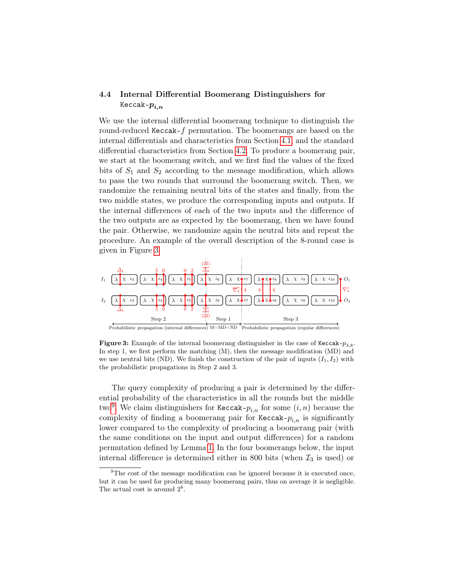# 4.4 Internal Differential Boomerang Distinguishers for Keccak- $p_{i,n}$

We use the internal differential boomerang technique to distinguish the round-reduced Keccak- $f$  permutation. The boomerangs are based on the internal differentials and characteristics from Section [4.1,](#page-10-2) and the standard differential characteristics from Section [4.2.](#page-14-0) To produce a boomerang pair, we start at the boomerang switch, and we first find the values of the fixed bits of  $S_1$  and  $S_2$  according to the message modification, which allows to pass the two rounds that surround the boomerang switch. Then, we randomize the remaining neutral bits of the states and finally, from the two middle states, we produce the corresponding inputs and outputs. If the internal differences of each of the two inputs and the difference of the two outputs are as expected by the boomerang, then we have found the pair. Otherwise, we randomize again the neutral bits and repeat the procedure. An example of the overall description of the 8-round case is given in Figure [3.](#page-18-0)

<span id="page-18-0"></span>

**Figure 3:** Example of the internal boomerang distinguisher in the case of Keccak- $p_{3,8}$ . In step 1, we first perform the matching (M), then the message modification (MD) and we use neutral bits (ND). We finish the construction of the pair of inputs  $(I_1, I_2)$  with the probabilistic propagations in Step 2 and 3.

The query complexity of producing a pair is determined by the differential probability of the characteristics in all the rounds but the middle two<sup>[9](#page-18-1)</sup>. We claim distinguishers for Keccak- $p_{i,n}$  for some  $(i, n)$  because the complexity of finding a boomerang pair for Keccak- $p_{i,n}$  is significantly lower compared to the complexity of producing a boomerang pair (with the same conditions on the input and output differences) for a random permutation defined by Lemma [1.](#page-10-1) In the four boomerangs below, the input internal difference is determined either in 800 bits (when  $\mathcal{I}_3$  is used) or

<span id="page-18-1"></span> $9^9$ The cost of the message modification can be ignored because it is executed once, but it can be used for producing many boomerang pairs, thus on average it is negligible. The actual cost is around  $2^8$ .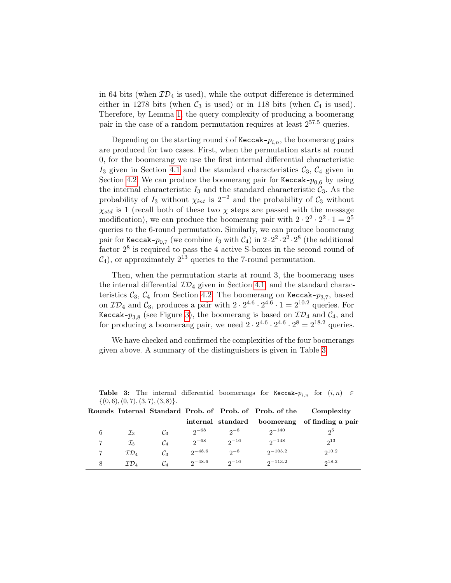in 64 bits (when  $\mathcal{ID}_4$  is used), while the output difference is determined either in 1278 bits (when  $C_3$  is used) or in 118 bits (when  $C_4$  is used). Therefore, by Lemma [1,](#page-10-1) the query complexity of producing a boomerang pair in the case of a random permutation requires at least  $2^{57.5}$  queries.

Depending on the starting round i of Keccak- $p_{i,n}$ , the boomerang pairs are produced for two cases. First, when the permutation starts at round 0, for the boomerang we use the first internal differential characteristic  $I_3$  given in Section [4.1](#page-10-2) and the standard characteristics  $C_3$ ,  $C_4$  given in Section [4.2.](#page-14-0) We can produce the boomerang pair for Keccak- $p_{0.6}$  by using the internal characteristic  $I_3$  and the standard characteristic  $C_3$ . As the probability of  $I_3$  without  $\chi_{int}$  is  $2^{-2}$  and the probability of  $\mathcal{C}_3$  without  $\chi_{std}$  is 1 (recall both of these two  $\chi$  steps are passed with the message modification), we can produce the boomerang pair with  $2 \cdot 2^2 \cdot 2^2 \cdot 1 = 2^5$ queries to the 6-round permutation. Similarly, we can produce boomerang pair for Keccak- $p_{0,7}$  (we combine  $I_3$  with  $\mathcal{C}_4$ ) in  $2 \cdot 2^2 \cdot 2^2 \cdot 2^8$  (the additional factor  $2^8$  is required to pass the 4 active S-boxes in the second round of  $\mathcal{C}_4$ ), or approximately  $2^{13}$  queries to the 7-round permutation.

Then, when the permutation starts at round 3, the boomerang uses the internal differential  $\mathcal{ID}_4$  given in Section [4.1,](#page-10-2) and the standard characteristics  $C_3$ ,  $C_4$  from Section [4.2.](#page-14-0) The boomerang on Keccak- $p_{3,7}$ , based on  $\mathcal{ID}_4$  and  $\mathcal{C}_3$ , produces a pair with  $2 \cdot 2^{4.6} \cdot 2^{4.6} \cdot 1 = 2^{10.2}$  queries. For Keccak- $p_{3,8}$  (see Figure [3\)](#page-18-0), the boomerang is based on  $\mathcal{ID}_4$  and  $\mathcal{C}_4$ , and for producing a boomerang pair, we need  $2 \cdot 2^{4.6} \cdot 2^{4.6} \cdot 2^8 = 2^{18.2}$  queries.

We have checked and confirmed the complexities of the four boomerangs given above. A summary of the distinguishers is given in Table [3.](#page-19-0)

|   |                  |                 |                 |                   | Rounds Internal Standard Prob. of Prob. of Prob. of the | Complexity                  |
|---|------------------|-----------------|-----------------|-------------------|---------------------------------------------------------|-----------------------------|
|   |                  |                 |                 | internal standard |                                                         | boomerang of finding a pair |
|   | $\mathcal{L}_3$  | $\mathcal{C}_3$ | $2^{-68}$       | $2^{-8}$          | $2^{\sim}$ 140                                          | 2 <sup>5</sup>              |
|   | $\mathcal{I}_3$  | $\mathcal{C}_4$ | $2^{\sim 68}$   | $2^{-16}$         | $2^{-148}$                                              | $2^{13}$                    |
|   | $\mathcal{ID}_4$ | $\mathcal{C}_3$ | $2^{\sim 48.6}$ | $2^{-8}$          | $2^{\sim 105.2}$                                        | $2^{10.2}$                  |
| 8 | $\mathcal{ID}_A$ | $\mathcal{C}_4$ | $2^{\sim 48.6}$ | $2^{-16}$         | $2^{-113.2}$                                            | $2^{18.2}$                  |

<span id="page-19-0"></span>Table 3: The internal differential boomerangs for Keccak- $p_{i,n}$  for  $(i, n) \in$  $\{(0, 6), (0, 7), (3, 7), (3, 8)\}.$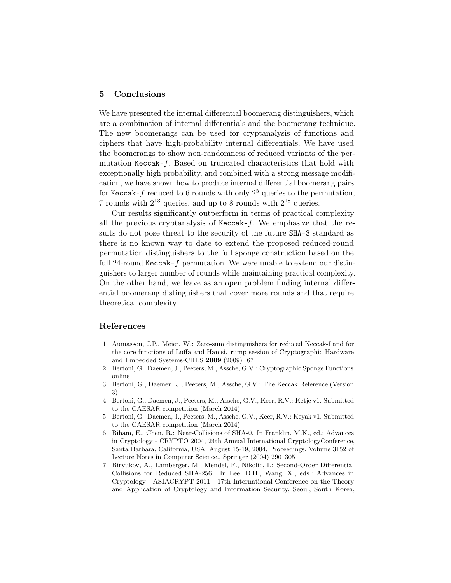# 5 Conclusions

We have presented the internal differential boomerang distinguishers, which are a combination of internal differentials and the boomerang technique. The new boomerangs can be used for cryptanalysis of functions and ciphers that have high-probability internal differentials. We have used the boomerangs to show non-randomness of reduced variants of the permutation Keccak-f. Based on truncated characteristics that hold with exceptionally high probability, and combined with a strong message modification, we have shown how to produce internal differential boomerang pairs for Keccak- $f$  reduced to 6 rounds with only  $2^5$  queries to the permutation, 7 rounds with  $2^{13}$  queries, and up to 8 rounds with  $2^{18}$  queries.

Our results significantly outperform in terms of practical complexity all the previous cryptanalysis of Keccak- $f$ . We emphasize that the results do not pose threat to the security of the future SHA-3 standard as there is no known way to date to extend the proposed reduced-round permutation distinguishers to the full sponge construction based on the full 24-round Keccak- $f$  permutation. We were unable to extend our distinguishers to larger number of rounds while maintaining practical complexity. On the other hand, we leave as an open problem finding internal differential boomerang distinguishers that cover more rounds and that require theoretical complexity.

### References

- <span id="page-20-1"></span>1. Aumasson, J.P., Meier, W.: Zero-sum distinguishers for reduced Keccak-f and for the core functions of Luffa and Hamsi. rump session of Cryptographic Hardware and Embedded Systems-CHES 2009 (2009) 67
- <span id="page-20-4"></span>2. Bertoni, G., Daemen, J., Peeters, M., Assche, G.V.: Cryptographic Sponge Functions. online
- <span id="page-20-0"></span>3. Bertoni, G., Daemen, J., Peeters, M., Assche, G.V.: The Keccak Reference (Version 3)
- <span id="page-20-3"></span>4. Bertoni, G., Daemen, J., Peeters, M., Assche, G.V., Keer, R.V.: Ketje v1. Submitted to the CAESAR competition (March 2014)
- <span id="page-20-2"></span>5. Bertoni, G., Daemen, J., Peeters, M., Assche, G.V., Keer, R.V.: Keyak v1. Submitted to the CAESAR competition (March 2014)
- <span id="page-20-6"></span>6. Biham, E., Chen, R.: Near-Collisions of SHA-0. In Franklin, M.K., ed.: Advances in Cryptology - CRYPTO 2004, 24th Annual International CryptologyConference, Santa Barbara, California, USA, August 15-19, 2004, Proceedings. Volume 3152 of Lecture Notes in Computer Science., Springer (2004) 290–305
- <span id="page-20-5"></span>7. Biryukov, A., Lamberger, M., Mendel, F., Nikolic, I.: Second-Order Differential Collisions for Reduced SHA-256. In Lee, D.H., Wang, X., eds.: Advances in Cryptology - ASIACRYPT 2011 - 17th International Conference on the Theory and Application of Cryptology and Information Security, Seoul, South Korea,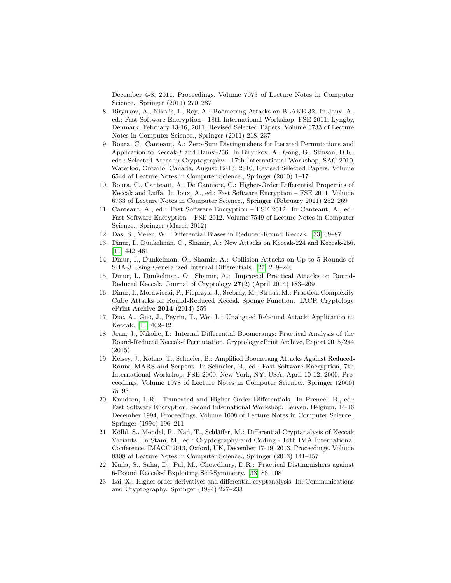December 4-8, 2011. Proceedings. Volume 7073 of Lecture Notes in Computer Science., Springer (2011) 270–287

- <span id="page-21-12"></span>8. Biryukov, A., Nikolic, I., Roy, A.: Boomerang Attacks on BLAKE-32. In Joux, A., ed.: Fast Software Encryption - 18th International Workshop, FSE 2011, Lyngby, Denmark, February 13-16, 2011, Revised Selected Papers. Volume 6733 of Lecture Notes in Computer Science., Springer (2011) 218–237
- <span id="page-21-8"></span>9. Boura, C., Canteaut, A.: Zero-Sum Distinguishers for Iterated Permutations and Application to Keccak-f and Hamsi-256. In Biryukov, A., Gong, G., Stinson, D.R., eds.: Selected Areas in Cryptography - 17th International Workshop, SAC 2010, Waterloo, Ontario, Canada, August 12-13, 2010, Revised Selected Papers. Volume 6544 of Lecture Notes in Computer Science., Springer (2010) 1–17
- <span id="page-21-9"></span>10. Boura, C., Canteaut, A., De Cannière, C.: Higher-Order Differential Properties of Keccak and Luffa. In Joux, A., ed.: Fast Software Encryption – FSE 2011. Volume 6733 of Lecture Notes in Computer Science., Springer (February 2011) 252–269
- <span id="page-21-15"></span>11. Canteaut, A., ed.: Fast Software Encryption – FSE 2012. In Canteaut, A., ed.: Fast Software Encryption – FSE 2012. Volume 7549 of Lecture Notes in Computer Science., Springer (March 2012)
- <span id="page-21-7"></span>12. Das, S., Meier, W.: Differential Biases in Reduced-Round Keccak. [\[33\]](#page-22-9) 69–87
- <span id="page-21-14"></span>13. Dinur, I., Dunkelman, O., Shamir, A.: New Attacks on Keccak-224 and Keccak-256. [\[11\]](#page-21-15) 442–461
- <span id="page-21-1"></span>14. Dinur, I., Dunkelman, O., Shamir, A.: Collision Attacks on Up to 5 Rounds of SHA-3 Using Generalized Internal Differentials. [\[27\]](#page-22-10) 219–240
- <span id="page-21-2"></span>15. Dinur, I., Dunkelman, O., Shamir, A.: Improved Practical Attacks on Round-Reduced Keccak. Journal of Cryptology 27(2) (April 2014) 183–209
- <span id="page-21-3"></span>16. Dinur, I., Morawiecki, P., Pieprzyk, J., Srebrny, M., Straus, M.: Practical Complexity Cube Attacks on Round-Reduced Keccak Sponge Function. IACR Cryptology ePrint Archive 2014 (2014) 259
- <span id="page-21-5"></span>17. Duc, A., Guo, J., Peyrin, T., Wei, L.: Unaligned Rebound Attack: Application to Keccak. [\[11\]](#page-21-15) 402–421
- <span id="page-21-0"></span>18. Jean, J., Nikolic, I.: Internal Differential Boomerangs: Practical Analysis of the Round-Reduced Keccak-f Permutation. Cryptology ePrint Archive, Report 2015/244 (2015)
- <span id="page-21-13"></span>19. Kelsey, J., Kohno, T., Schneier, B.: Amplified Boomerang Attacks Against Reduced-Round MARS and Serpent. In Schneier, B., ed.: Fast Software Encryption, 7th International Workshop, FSE 2000, New York, NY, USA, April 10-12, 2000, Proceedings. Volume 1978 of Lecture Notes in Computer Science., Springer (2000) 75–93
- <span id="page-21-10"></span>20. Knudsen, L.R.: Truncated and Higher Order Differentials. In Preneel, B., ed.: Fast Software Encryption: Second International Workshop. Leuven, Belgium, 14-16 December 1994, Proceedings. Volume 1008 of Lecture Notes in Computer Science., Springer (1994) 196–211
- <span id="page-21-6"></span>21. Kölbl, S., Mendel, F., Nad, T., Schläffer, M.: Differential Cryptanalysis of Keccak Variants. In Stam, M., ed.: Cryptography and Coding - 14th IMA International Conference, IMACC 2013, Oxford, UK, December 17-19, 2013. Proceedings. Volume 8308 of Lecture Notes in Computer Science., Springer (2013) 141–157
- <span id="page-21-4"></span>22. Kuila, S., Saha, D., Pal, M., Chowdhury, D.R.: Practical Distinguishers against 6-Round Keccak-f Exploiting Self-Symmetry. [\[33\]](#page-22-9) 88–108
- <span id="page-21-11"></span>23. Lai, X.: Higher order derivatives and differential cryptanalysis. In: Communications and Cryptography. Springer (1994) 227–233